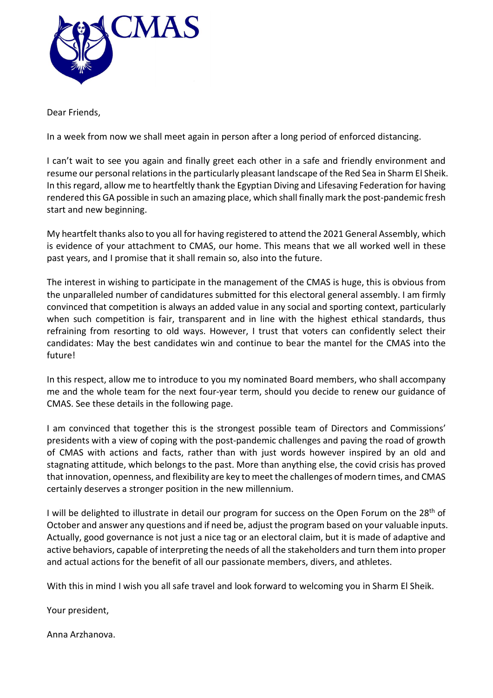

Dear Friends,

In a week from now we shall meet again in person after a long period of enforced distancing.

I can't wait to see you again and finally greet each other in a safe and friendly environment and resume our personal relations in the particularly pleasant landscape of the Red Sea in Sharm El Sheik. In this regard, allow me to heartfeltly thank the Egyptian Diving and Lifesaving Federation for having rendered this GA possible in such an amazing place, which shall finally mark the post-pandemic fresh start and new beginning.

My heartfelt thanks also to you all for having registered to attend the 2021 General Assembly, which is evidence of your attachment to CMAS, our home. This means that we all worked well in these past years, and I promise that it shall remain so, also into the future.

The interest in wishing to participate in the management of the CMAS is huge, this is obvious from the unparalleled number of candidatures submitted for this electoral general assembly. I am firmly convinced that competition is always an added value in any social and sporting context, particularly when such competition is fair, transparent and in line with the highest ethical standards, thus refraining from resorting to old ways. However, I trust that voters can confidently select their candidates: May the best candidates win and continue to bear the mantel for the CMAS into the future!

In this respect, allow me to introduce to you my nominated Board members, who shall accompany me and the whole team for the next four-year term, should you decide to renew our guidance of CMAS. See these details in the following page.

I am convinced that together this is the strongest possible team of Directors and Commissions' presidents with a view of coping with the post-pandemic challenges and paving the road of growth of CMAS with actions and facts, rather than with just words however inspired by an old and stagnating attitude, which belongs to the past. More than anything else, the covid crisis has proved that innovation, openness, and flexibility are key to meet the challenges of modern times, and CMAS certainly deserves a stronger position in the new millennium.

I will be delighted to illustrate in detail our program for success on the Open Forum on the  $28<sup>th</sup>$  of October and answer any questions and if need be, adjust the program based on your valuable inputs. Actually, good governance is not just a nice tag or an electoral claim, but it is made of adaptive and active behaviors, capable of interpreting the needs of all the stakeholders and turn them into proper and actual actions for the benefit of all our passionate members, divers, and athletes.

With this in mind I wish you all safe travel and look forward to welcoming you in Sharm El Sheik.

Your president,

Anna Arzhanova.